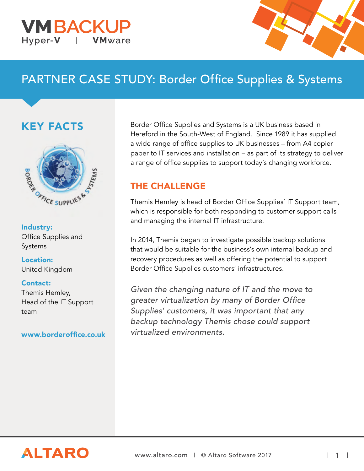#### **VMBACKU** Hyper-V **VM**ware



# PARTNER CASE STUDY: Border Office Supplies & Systems

## KEY FACTS



Industry: Office Supplies and Systems

Location: United Kingdom

#### Contact:

Themis Hemley, Head of the IT Support team

[www.borderoffice.co.uk](http://www.borderoffice.co.uk/) 

Border Office Supplies and Systems is a UK business based in Hereford in the South-West of England. Since 1989 it has supplied a wide range of office supplies to UK businesses – from A4 copier paper to IT services and installation – as part of its strategy to deliver a range of office supplies to support today's changing workforce.

#### THE CHALLENGE

Themis Hemley is head of Border Office Supplies' IT Support team, which is responsible for both responding to customer support calls and managing the internal IT infrastructure.

In 2014, Themis began to investigate possible backup solutions that would be suitable for the business's own internal backup and recovery procedures as well as offering the potential to support Border Office Supplies customers' infrastructures.

Given the changing nature of IT and the move to greater virtualization by many of Border Office Supplies' customers, it was important that any backup technology Themis chose could support virtualized environments.